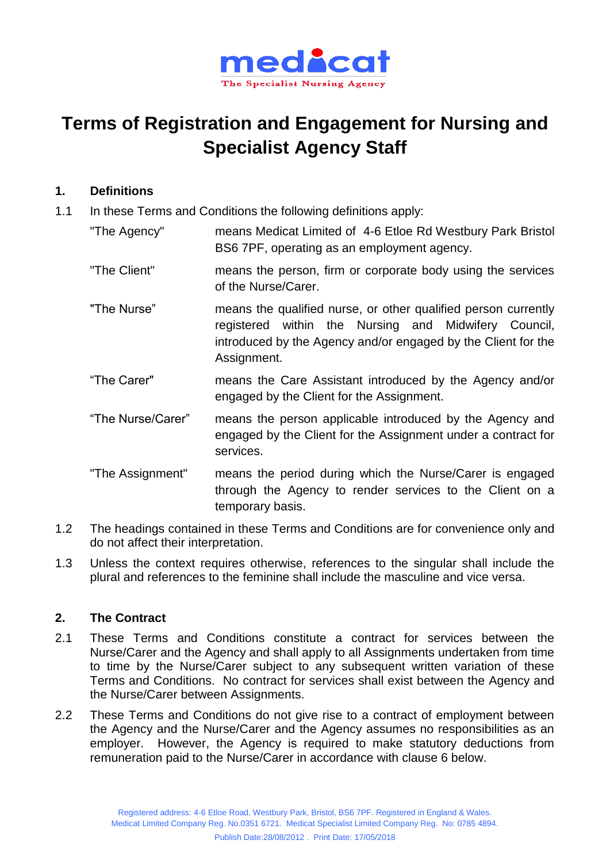

# **Terms of Registration and Engagement for Nursing and Specialist Agency Staff**

# **1. Definitions**

- 1.1 In these Terms and Conditions the following definitions apply:
	- "The Agency" means Medicat Limited of 4-6 Etloe Rd Westbury Park Bristol BS6 7PF, operating as an employment agency.
	- "The Client" means the person, firm or corporate body using the services of the Nurse/Carer.
	- "The Nurse" means the qualified nurse, or other qualified person currently registered within the Nursing and Midwifery Council, introduced by the Agency and/or engaged by the Client for the Assignment.
	- "The Carer" means the Care Assistant introduced by the Agency and/or engaged by the Client for the Assignment.
	- "The Nurse/Carer" means the person applicable introduced by the Agency and engaged by the Client for the Assignment under a contract for services.
	- "The Assignment" means the period during which the Nurse/Carer is engaged through the Agency to render services to the Client on a temporary basis.
- 1.2 The headings contained in these Terms and Conditions are for convenience only and do not affect their interpretation.
- 1.3 Unless the context requires otherwise, references to the singular shall include the plural and references to the feminine shall include the masculine and vice versa.

# **2. The Contract**

- 2.1 These Terms and Conditions constitute a contract for services between the Nurse/Carer and the Agency and shall apply to all Assignments undertaken from time to time by the Nurse/Carer subject to any subsequent written variation of these Terms and Conditions. No contract for services shall exist between the Agency and the Nurse/Carer between Assignments.
- 2.2 These Terms and Conditions do not give rise to a contract of employment between the Agency and the Nurse/Carer and the Agency assumes no responsibilities as an employer. However, the Agency is required to make statutory deductions from remuneration paid to the Nurse/Carer in accordance with clause 6 below.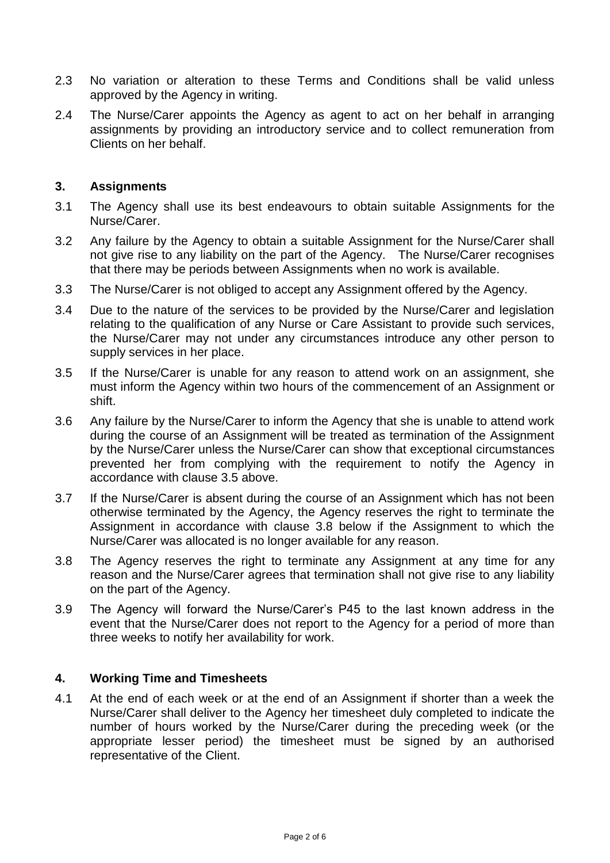- 2.3 No variation or alteration to these Terms and Conditions shall be valid unless approved by the Agency in writing.
- 2.4 The Nurse/Carer appoints the Agency as agent to act on her behalf in arranging assignments by providing an introductory service and to collect remuneration from Clients on her behalf.

#### **3. Assignments**

- 3.1 The Agency shall use its best endeavours to obtain suitable Assignments for the Nurse/Carer.
- 3.2 Any failure by the Agency to obtain a suitable Assignment for the Nurse/Carer shall not give rise to any liability on the part of the Agency. The Nurse/Carer recognises that there may be periods between Assignments when no work is available.
- 3.3 The Nurse/Carer is not obliged to accept any Assignment offered by the Agency.
- 3.4 Due to the nature of the services to be provided by the Nurse/Carer and legislation relating to the qualification of any Nurse or Care Assistant to provide such services, the Nurse/Carer may not under any circumstances introduce any other person to supply services in her place.
- 3.5 If the Nurse/Carer is unable for any reason to attend work on an assignment, she must inform the Agency within two hours of the commencement of an Assignment or shift.
- 3.6 Any failure by the Nurse/Carer to inform the Agency that she is unable to attend work during the course of an Assignment will be treated as termination of the Assignment by the Nurse/Carer unless the Nurse/Carer can show that exceptional circumstances prevented her from complying with the requirement to notify the Agency in accordance with clause 3.5 above.
- 3.7 If the Nurse/Carer is absent during the course of an Assignment which has not been otherwise terminated by the Agency, the Agency reserves the right to terminate the Assignment in accordance with clause 3.8 below if the Assignment to which the Nurse/Carer was allocated is no longer available for any reason.
- 3.8 The Agency reserves the right to terminate any Assignment at any time for any reason and the Nurse/Carer agrees that termination shall not give rise to any liability on the part of the Agency.
- 3.9 The Agency will forward the Nurse/Carer's P45 to the last known address in the event that the Nurse/Carer does not report to the Agency for a period of more than three weeks to notify her availability for work.

#### **4. Working Time and Timesheets**

4.1 At the end of each week or at the end of an Assignment if shorter than a week the Nurse/Carer shall deliver to the Agency her timesheet duly completed to indicate the number of hours worked by the Nurse/Carer during the preceding week (or the appropriate lesser period) the timesheet must be signed by an authorised representative of the Client.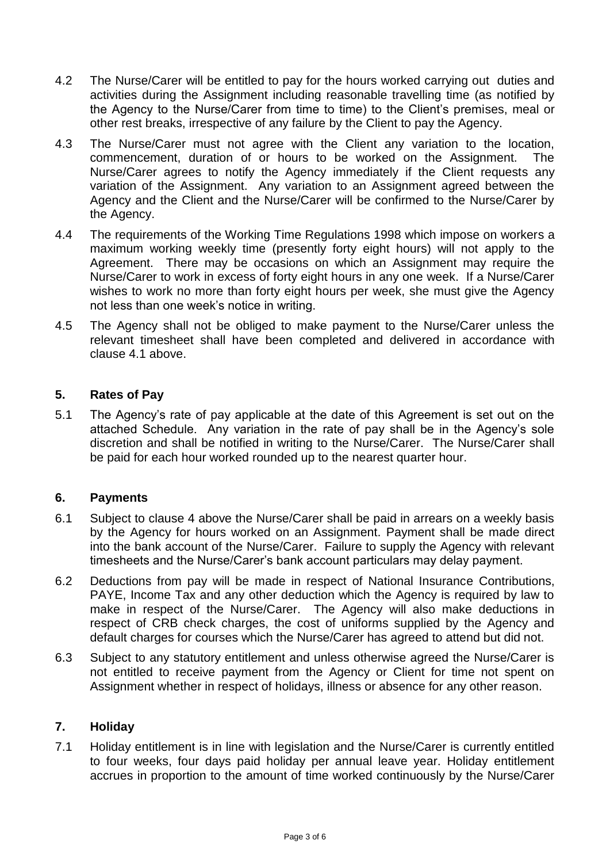- 4.2 The Nurse/Carer will be entitled to pay for the hours worked carrying out duties and activities during the Assignment including reasonable travelling time (as notified by the Agency to the Nurse/Carer from time to time) to the Client's premises, meal or other rest breaks, irrespective of any failure by the Client to pay the Agency.
- 4.3 The Nurse/Carer must not agree with the Client any variation to the location, commencement, duration of or hours to be worked on the Assignment. The Nurse/Carer agrees to notify the Agency immediately if the Client requests any variation of the Assignment. Any variation to an Assignment agreed between the Agency and the Client and the Nurse/Carer will be confirmed to the Nurse/Carer by the Agency.
- 4.4 The requirements of the Working Time Regulations 1998 which impose on workers a maximum working weekly time (presently forty eight hours) will not apply to the Agreement. There may be occasions on which an Assignment may require the Nurse/Carer to work in excess of forty eight hours in any one week. If a Nurse/Carer wishes to work no more than forty eight hours per week, she must give the Agency not less than one week's notice in writing.
- 4.5 The Agency shall not be obliged to make payment to the Nurse/Carer unless the relevant timesheet shall have been completed and delivered in accordance with clause 4.1 above.

# **5. Rates of Pay**

5.1 The Agency's rate of pay applicable at the date of this Agreement is set out on the attached Schedule. Any variation in the rate of pay shall be in the Agency's sole discretion and shall be notified in writing to the Nurse/Carer. The Nurse/Carer shall be paid for each hour worked rounded up to the nearest quarter hour.

#### **6. Payments**

- 6.1 Subject to clause 4 above the Nurse/Carer shall be paid in arrears on a weekly basis by the Agency for hours worked on an Assignment. Payment shall be made direct into the bank account of the Nurse/Carer. Failure to supply the Agency with relevant timesheets and the Nurse/Carer's bank account particulars may delay payment.
- 6.2 Deductions from pay will be made in respect of National Insurance Contributions, PAYE, Income Tax and any other deduction which the Agency is required by law to make in respect of the Nurse/Carer. The Agency will also make deductions in respect of CRB check charges, the cost of uniforms supplied by the Agency and default charges for courses which the Nurse/Carer has agreed to attend but did not.
- 6.3 Subject to any statutory entitlement and unless otherwise agreed the Nurse/Carer is not entitled to receive payment from the Agency or Client for time not spent on Assignment whether in respect of holidays, illness or absence for any other reason.

#### **7. Holiday**

7.1 Holiday entitlement is in line with legislation and the Nurse/Carer is currently entitled to four weeks, four days paid holiday per annual leave year. Holiday entitlement accrues in proportion to the amount of time worked continuously by the Nurse/Carer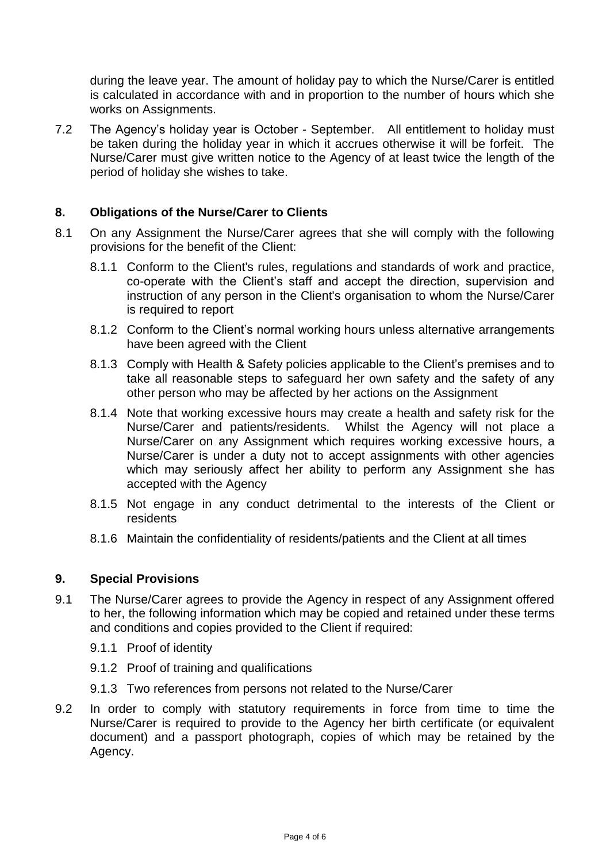during the leave year. The amount of holiday pay to which the Nurse/Carer is entitled is calculated in accordance with and in proportion to the number of hours which she works on Assignments.

7.2 The Agency's holiday year is October - September. All entitlement to holiday must be taken during the holiday year in which it accrues otherwise it will be forfeit. The Nurse/Carer must give written notice to the Agency of at least twice the length of the period of holiday she wishes to take.

#### **8. Obligations of the Nurse/Carer to Clients**

- 8.1 On any Assignment the Nurse/Carer agrees that she will comply with the following provisions for the benefit of the Client:
	- 8.1.1 Conform to the Client's rules, regulations and standards of work and practice, co-operate with the Client's staff and accept the direction, supervision and instruction of any person in the Client's organisation to whom the Nurse/Carer is required to report
	- 8.1.2 Conform to the Client's normal working hours unless alternative arrangements have been agreed with the Client
	- 8.1.3 Comply with Health & Safety policies applicable to the Client's premises and to take all reasonable steps to safeguard her own safety and the safety of any other person who may be affected by her actions on the Assignment
	- 8.1.4 Note that working excessive hours may create a health and safety risk for the Nurse/Carer and patients/residents. Whilst the Agency will not place a Nurse/Carer on any Assignment which requires working excessive hours, a Nurse/Carer is under a duty not to accept assignments with other agencies which may seriously affect her ability to perform any Assignment she has accepted with the Agency
	- 8.1.5 Not engage in any conduct detrimental to the interests of the Client or residents
	- 8.1.6 Maintain the confidentiality of residents/patients and the Client at all times

#### **9. Special Provisions**

- 9.1 The Nurse/Carer agrees to provide the Agency in respect of any Assignment offered to her, the following information which may be copied and retained under these terms and conditions and copies provided to the Client if required:
	- 9.1.1 Proof of identity
	- 9.1.2 Proof of training and qualifications
	- 9.1.3 Two references from persons not related to the Nurse/Carer
- 9.2 In order to comply with statutory requirements in force from time to time the Nurse/Carer is required to provide to the Agency her birth certificate (or equivalent document) and a passport photograph, copies of which may be retained by the Agency.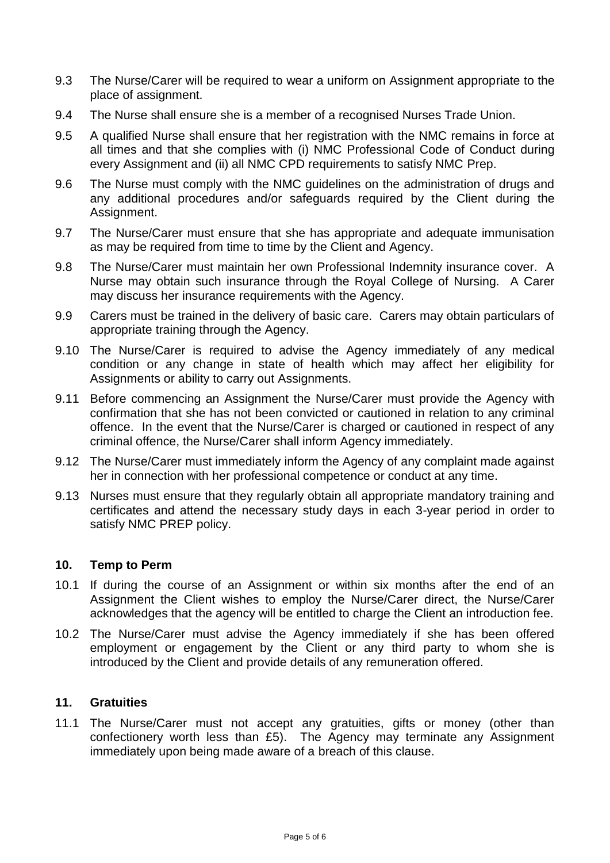- 9.3 The Nurse/Carer will be required to wear a uniform on Assignment appropriate to the place of assignment.
- 9.4 The Nurse shall ensure she is a member of a recognised Nurses Trade Union.
- 9.5 A qualified Nurse shall ensure that her registration with the NMC remains in force at all times and that she complies with (i) NMC Professional Code of Conduct during every Assignment and (ii) all NMC CPD requirements to satisfy NMC Prep.
- 9.6 The Nurse must comply with the NMC guidelines on the administration of drugs and any additional procedures and/or safeguards required by the Client during the Assignment.
- 9.7 The Nurse/Carer must ensure that she has appropriate and adequate immunisation as may be required from time to time by the Client and Agency.
- 9.8 The Nurse/Carer must maintain her own Professional Indemnity insurance cover. A Nurse may obtain such insurance through the Royal College of Nursing. A Carer may discuss her insurance requirements with the Agency.
- 9.9 Carers must be trained in the delivery of basic care. Carers may obtain particulars of appropriate training through the Agency.
- 9.10 The Nurse/Carer is required to advise the Agency immediately of any medical condition or any change in state of health which may affect her eligibility for Assignments or ability to carry out Assignments.
- 9.11 Before commencing an Assignment the Nurse/Carer must provide the Agency with confirmation that she has not been convicted or cautioned in relation to any criminal offence. In the event that the Nurse/Carer is charged or cautioned in respect of any criminal offence, the Nurse/Carer shall inform Agency immediately.
- 9.12 The Nurse/Carer must immediately inform the Agency of any complaint made against her in connection with her professional competence or conduct at any time.
- 9.13 Nurses must ensure that they regularly obtain all appropriate mandatory training and certificates and attend the necessary study days in each 3-year period in order to satisfy NMC PREP policy.

#### **10. Temp to Perm**

- 10.1 If during the course of an Assignment or within six months after the end of an Assignment the Client wishes to employ the Nurse/Carer direct, the Nurse/Carer acknowledges that the agency will be entitled to charge the Client an introduction fee.
- 10.2 The Nurse/Carer must advise the Agency immediately if she has been offered employment or engagement by the Client or any third party to whom she is introduced by the Client and provide details of any remuneration offered.

#### **11. Gratuities**

11.1 The Nurse/Carer must not accept any gratuities, gifts or money (other than confectionery worth less than £5). The Agency may terminate any Assignment immediately upon being made aware of a breach of this clause.